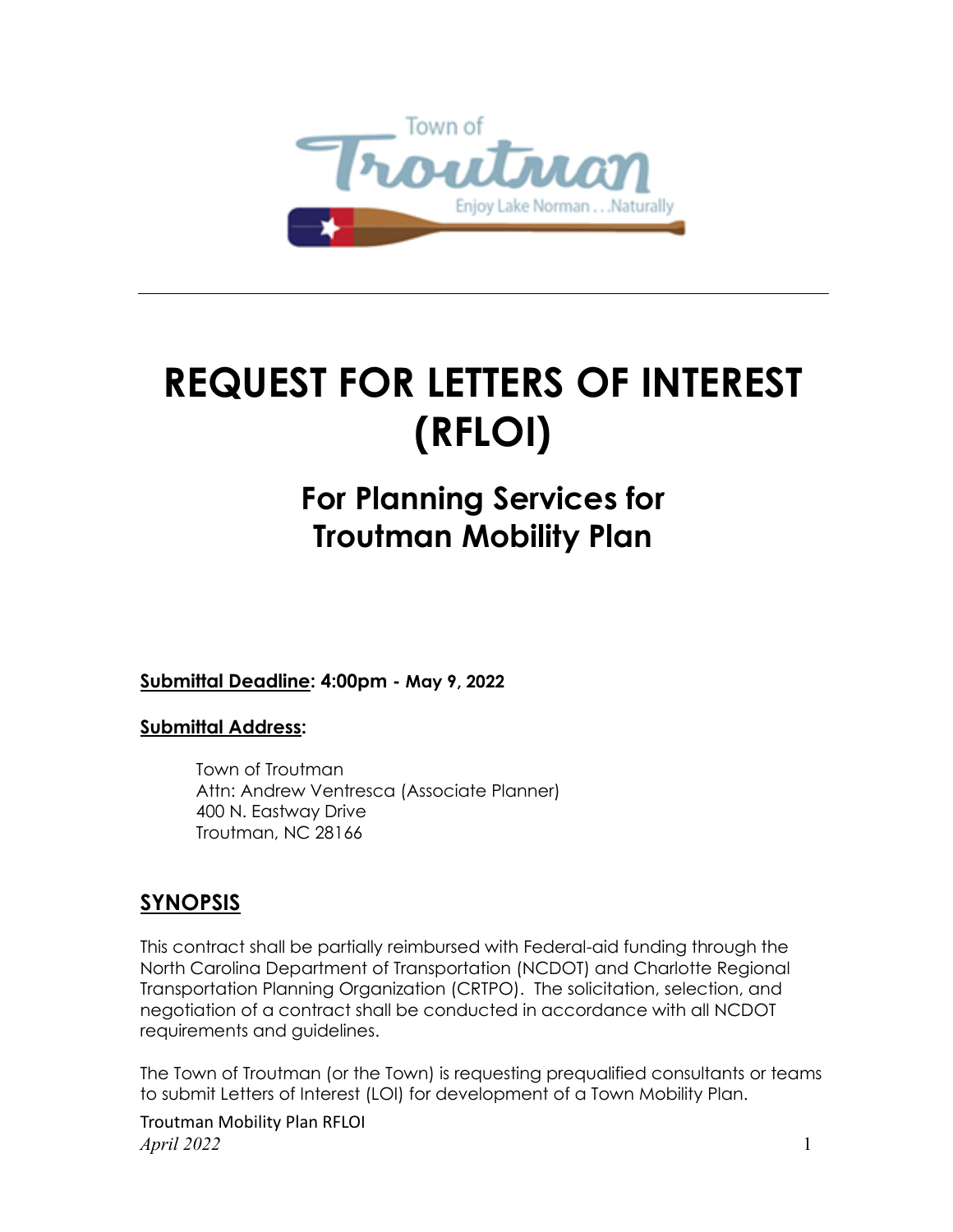

# **REQUEST FOR LETTERS OF INTEREST (RFLOI)**

# **For Planning Services for Troutman Mobility Plan**

**Submittal Deadline: 4:00pm - May 9, 2022**

#### **Submittal Address:**

Town of Troutman Attn: Andrew Ventresca (Associate Planner) 400 N. Eastway Drive Troutman, NC 28166

### **SYNOPSIS**

This contract shall be partially reimbursed with Federal-aid funding through the North Carolina Department of Transportation (NCDOT) and Charlotte Regional Transportation Planning Organization (CRTPO). The solicitation, selection, and negotiation of a contract shall be conducted in accordance with all NCDOT requirements and guidelines.

The Town of Troutman (or the Town) is requesting prequalified consultants or teams to submit Letters of Interest (LOI) for development of a Town Mobility Plan.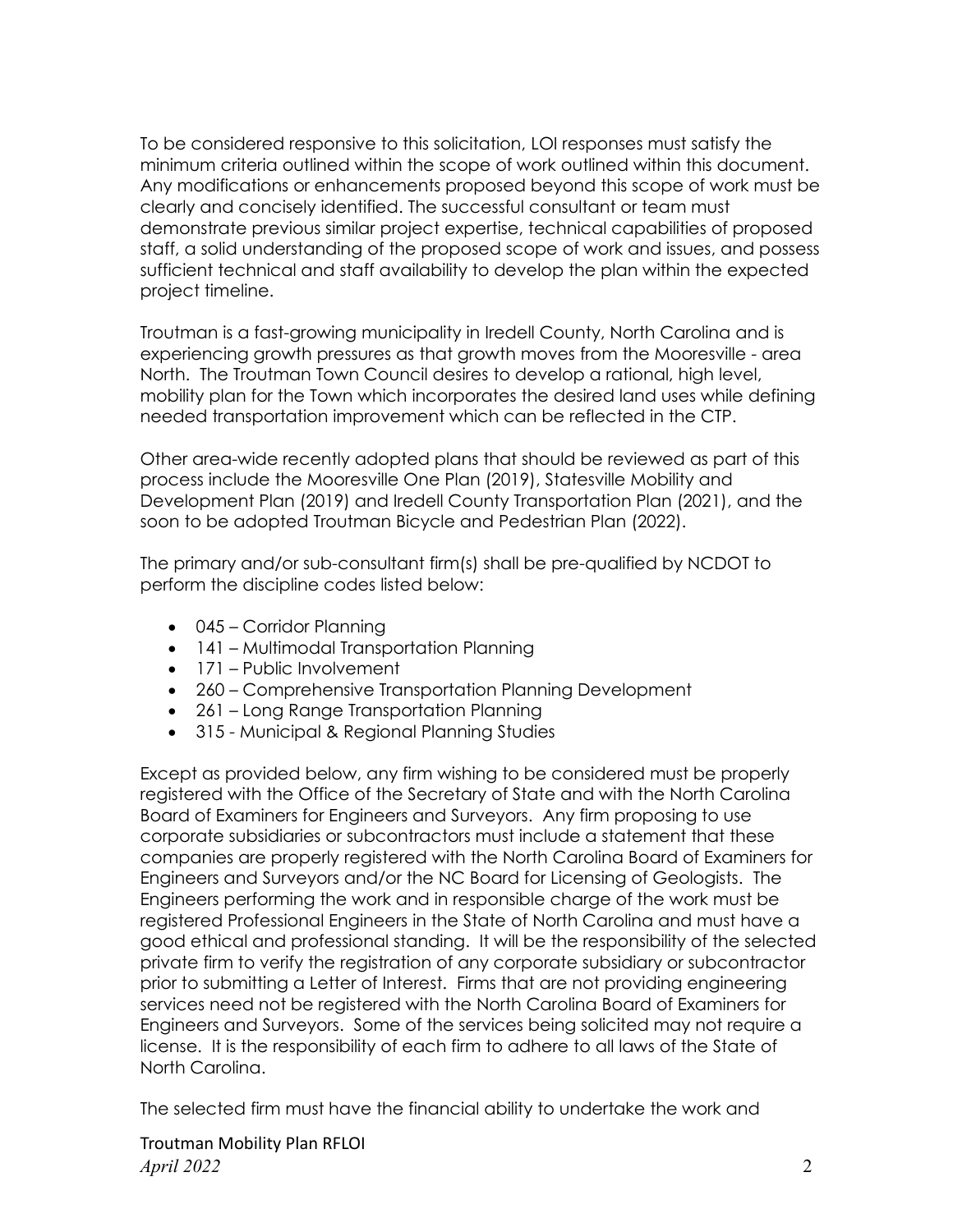To be considered responsive to this solicitation, LOI responses must satisfy the minimum criteria outlined within the scope of work outlined within this document. Any modifications or enhancements proposed beyond this scope of work must be clearly and concisely identified. The successful consultant or team must demonstrate previous similar project expertise, technical capabilities of proposed staff, a solid understanding of the proposed scope of work and issues, and possess sufficient technical and staff availability to develop the plan within the expected project timeline.

Troutman is a fast-growing municipality in Iredell County, North Carolina and is experiencing growth pressures as that growth moves from the Mooresville - area North. The Troutman Town Council desires to develop a rational, high level, mobility plan for the Town which incorporates the desired land uses while defining needed transportation improvement which can be reflected in the CTP.

Other area-wide recently adopted plans that should be reviewed as part of this process include the Mooresville One Plan (2019), Statesville Mobility and Development Plan (2019) and Iredell County Transportation Plan (2021), and the soon to be adopted Troutman Bicycle and Pedestrian Plan (2022).

The primary and/or sub-consultant firm(s) shall be pre-qualified by NCDOT to perform the discipline codes listed below:

- 045 Corridor Planning
- 141 Multimodal Transportation Planning
- 171 Public Involvement
- 260 Comprehensive Transportation Planning Development
- 261 Long Range Transportation Planning
- 315 Municipal & Regional Planning Studies

Except as provided below, any firm wishing to be considered must be properly registered with the Office of the Secretary of State and with the North Carolina Board of Examiners for Engineers and Surveyors. Any firm proposing to use corporate subsidiaries or subcontractors must include a statement that these companies are properly registered with the North Carolina Board of Examiners for Engineers and Surveyors and/or the NC Board for Licensing of Geologists. The Engineers performing the work and in responsible charge of the work must be registered Professional Engineers in the State of North Carolina and must have a good ethical and professional standing. It will be the responsibility of the selected private firm to verify the registration of any corporate subsidiary or subcontractor prior to submitting a Letter of Interest. Firms that are not providing engineering services need not be registered with the North Carolina Board of Examiners for Engineers and Surveyors. Some of the services being solicited may not require a license. It is the responsibility of each firm to adhere to all laws of the State of North Carolina.

The selected firm must have the financial ability to undertake the work and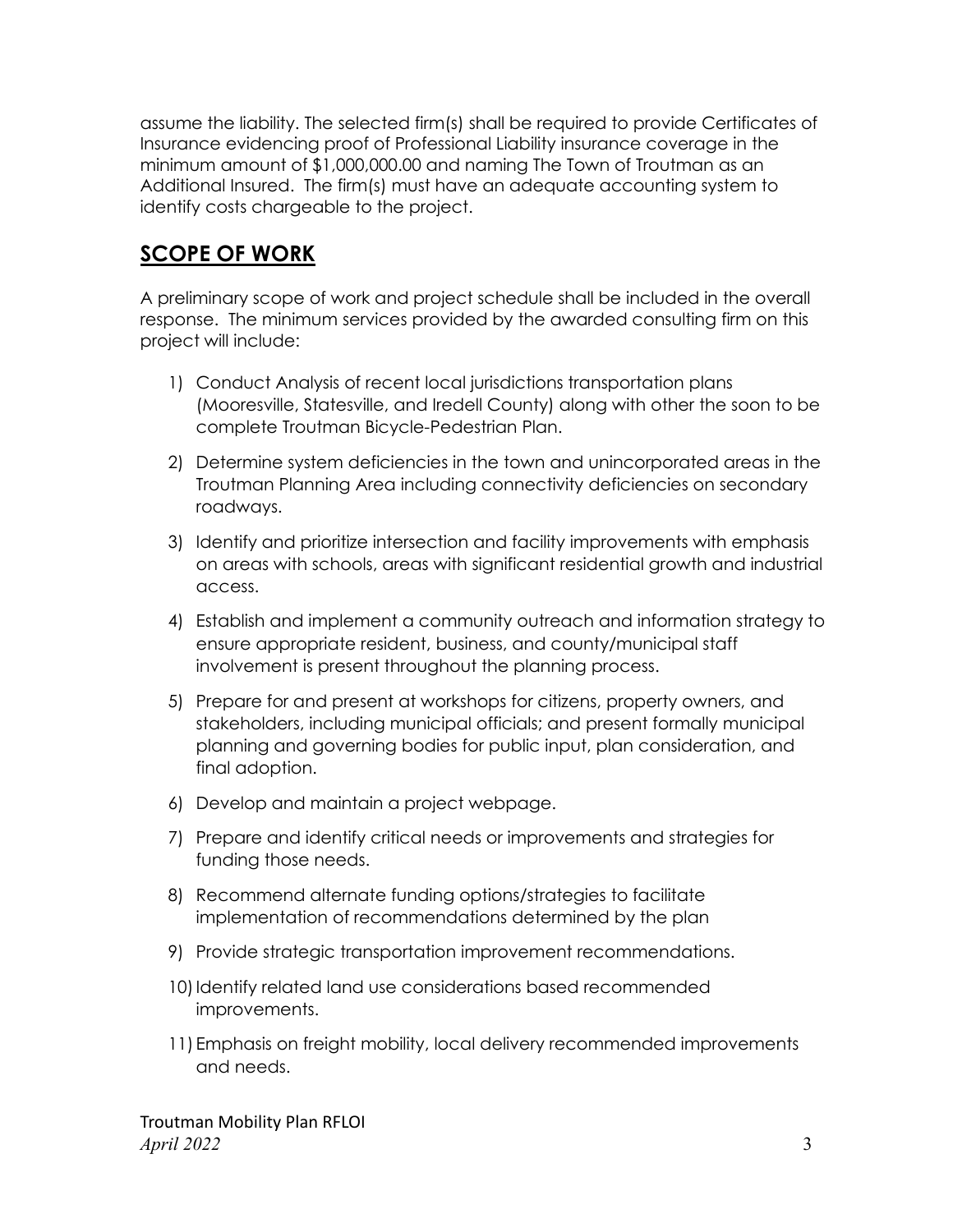assume the liability. The selected firm(s) shall be required to provide Certificates of Insurance evidencing proof of Professional Liability insurance coverage in the minimum amount of \$1,000,000.00 and naming The Town of Troutman as an Additional Insured. The firm(s) must have an adequate accounting system to identify costs chargeable to the project.

# **SCOPE OF WORK**

A preliminary scope of work and project schedule shall be included in the overall response. The minimum services provided by the awarded consulting firm on this project will include:

- 1) Conduct Analysis of recent local jurisdictions transportation plans (Mooresville, Statesville, and Iredell County) along with other the soon to be complete Troutman Bicycle-Pedestrian Plan.
- 2) Determine system deficiencies in the town and unincorporated areas in the Troutman Planning Area including connectivity deficiencies on secondary roadways.
- 3) Identify and prioritize intersection and facility improvements with emphasis on areas with schools, areas with significant residential growth and industrial access.
- 4) Establish and implement a community outreach and information strategy to ensure appropriate resident, business, and county/municipal staff involvement is present throughout the planning process.
- 5) Prepare for and present at workshops for citizens, property owners, and stakeholders, including municipal officials; and present formally municipal planning and governing bodies for public input, plan consideration, and final adoption.
- 6) Develop and maintain a project webpage.
- 7) Prepare and identify critical needs or improvements and strategies for funding those needs.
- 8) Recommend alternate funding options/strategies to facilitate implementation of recommendations determined by the plan
- 9) Provide strategic transportation improvement recommendations.
- 10) Identify related land use considerations based recommended improvements.
- 11) Emphasis on freight mobility, local delivery recommended improvements and needs.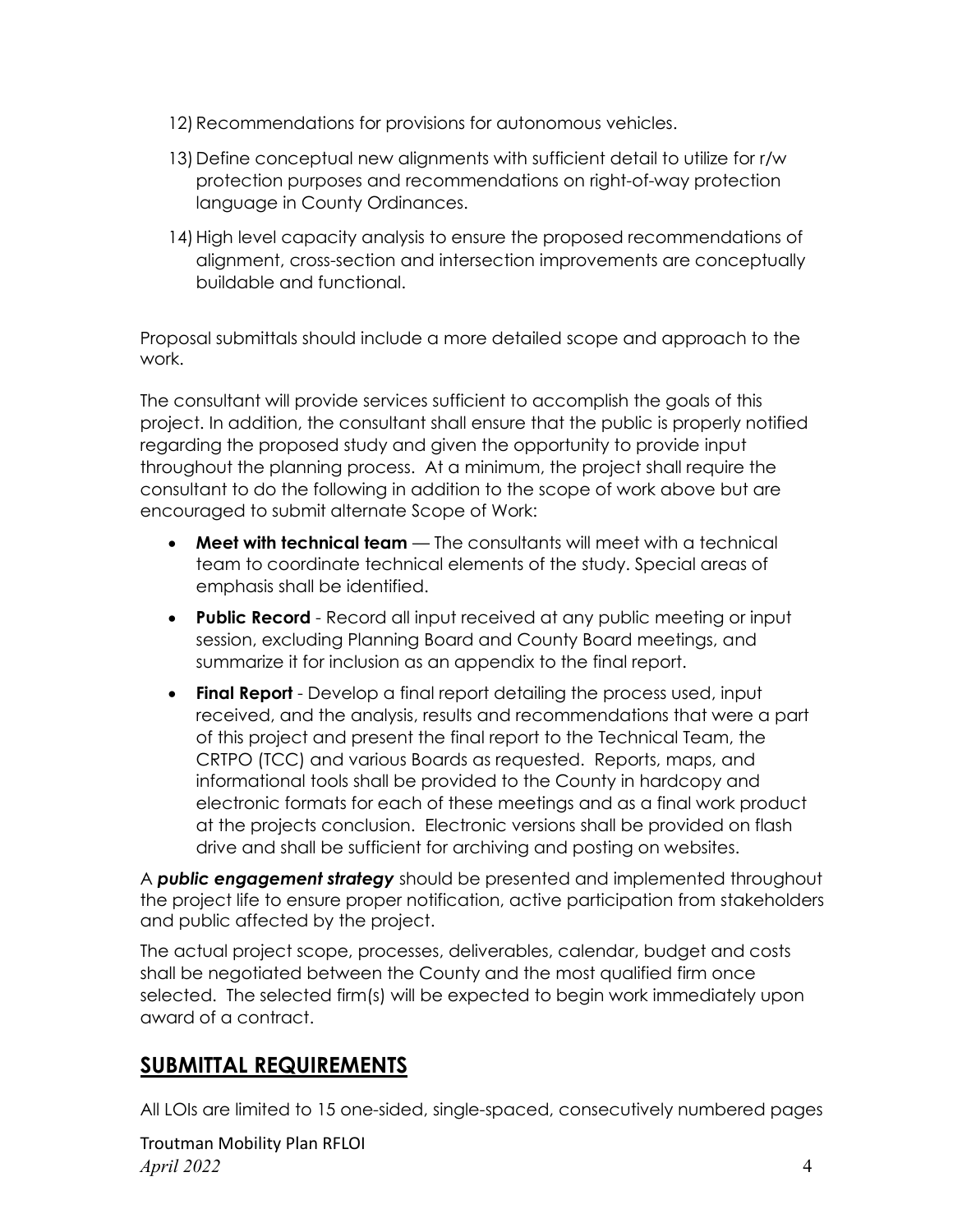- 12) Recommendations for provisions for autonomous vehicles.
- 13) Define conceptual new alignments with sufficient detail to utilize for r/w protection purposes and recommendations on right-of-way protection language in County Ordinances.
- 14) High level capacity analysis to ensure the proposed recommendations of alignment, cross-section and intersection improvements are conceptually buildable and functional.

Proposal submittals should include a more detailed scope and approach to the work.

The consultant will provide services sufficient to accomplish the goals of this project. In addition, the consultant shall ensure that the public is properly notified regarding the proposed study and given the opportunity to provide input throughout the planning process. At a minimum, the project shall require the consultant to do the following in addition to the scope of work above but are encouraged to submit alternate Scope of Work:

- **Meet with technical team** The consultants will meet with a technical team to coordinate technical elements of the study. Special areas of emphasis shall be identified.
- **Public Record** Record all input received at any public meeting or input session, excluding Planning Board and County Board meetings, and summarize it for inclusion as an appendix to the final report.
- **Final Report** Develop a final report detailing the process used, input received, and the analysis, results and recommendations that were a part of this project and present the final report to the Technical Team, the CRTPO (TCC) and various Boards as requested. Reports, maps, and informational tools shall be provided to the County in hardcopy and electronic formats for each of these meetings and as a final work product at the projects conclusion. Electronic versions shall be provided on flash drive and shall be sufficient for archiving and posting on websites.

A *public engagement strategy* should be presented and implemented throughout the project life to ensure proper notification, active participation from stakeholders and public affected by the project.

The actual project scope, processes, deliverables, calendar, budget and costs shall be negotiated between the County and the most qualified firm once selected. The selected firm(s) will be expected to begin work immediately upon award of a contract.

### **SUBMITTAL REQUIREMENTS**

All LOIs are limited to 15 one-sided, single-spaced, consecutively numbered pages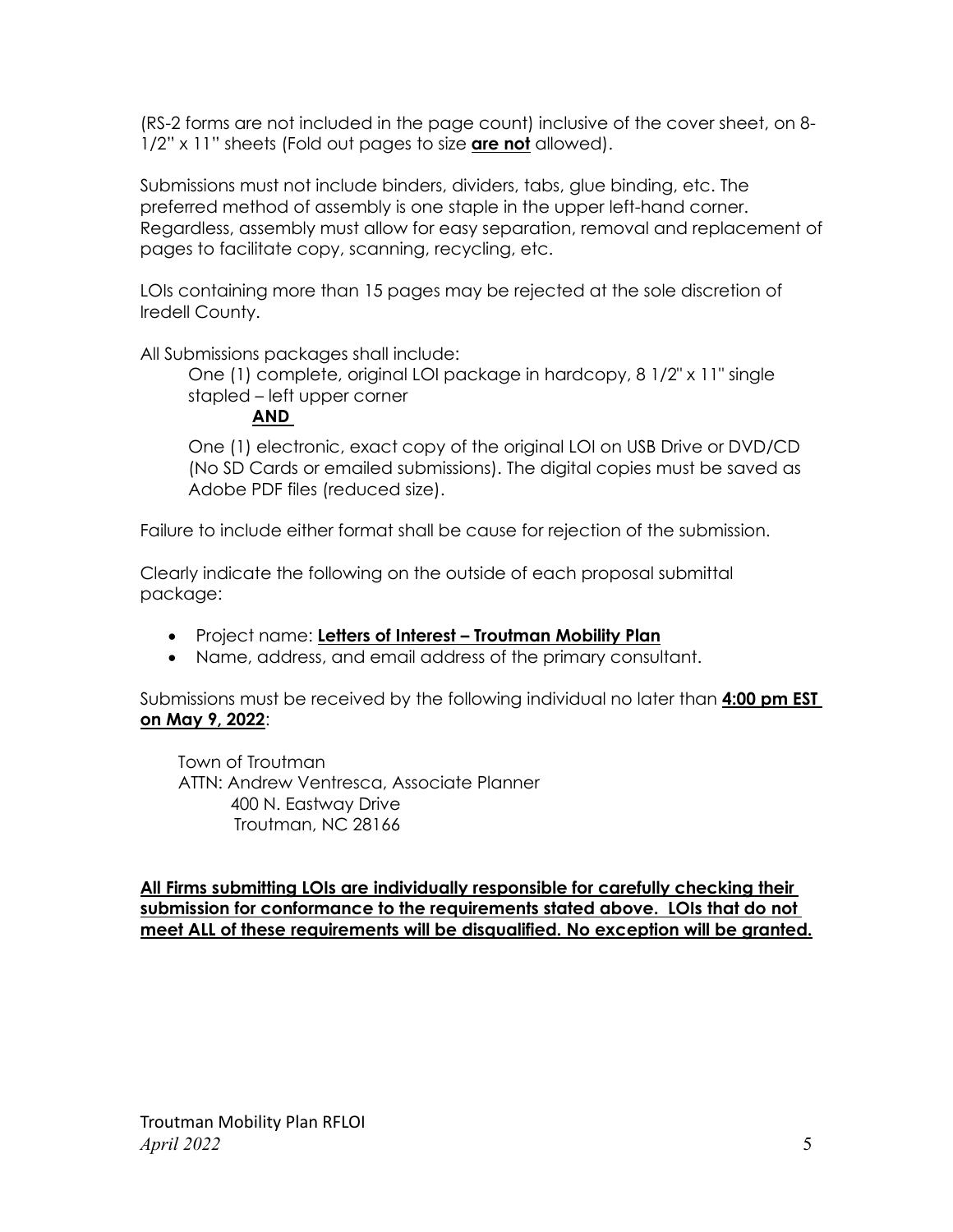(RS-2 forms are not included in the page count) inclusive of the cover sheet, on 8- 1/2" x 11" sheets (Fold out pages to size **are not** allowed).

Submissions must not include binders, dividers, tabs, glue binding, etc. The preferred method of assembly is one staple in the upper left-hand corner. Regardless, assembly must allow for easy separation, removal and replacement of pages to facilitate copy, scanning, recycling, etc.

LOIs containing more than 15 pages may be rejected at the sole discretion of Iredell County.

All Submissions packages shall include:

One (1) complete, original LOI package in hardcopy, 8 1/2" x 11" single stapled – left upper corner

#### **AND**

One (1) electronic, exact copy of the original LOI on USB Drive or DVD/CD (No SD Cards or emailed submissions). The digital copies must be saved as Adobe PDF files (reduced size).

Failure to include either format shall be cause for rejection of the submission.

Clearly indicate the following on the outside of each proposal submittal package:

- Project name: **Letters of Interest – Troutman Mobility Plan**
- Name, address, and email address of the primary consultant.

Submissions must be received by the following individual no later than **4:00 pm EST on May 9, 2022**:

 Town of Troutman ATTN: Andrew Ventresca, Associate Planner 400 N. Eastway Drive Troutman, NC 28166

**All Firms submitting LOIs are individually responsible for carefully checking their submission for conformance to the requirements stated above. LOIs that do not meet ALL of these requirements will be disqualified. No exception will be granted.**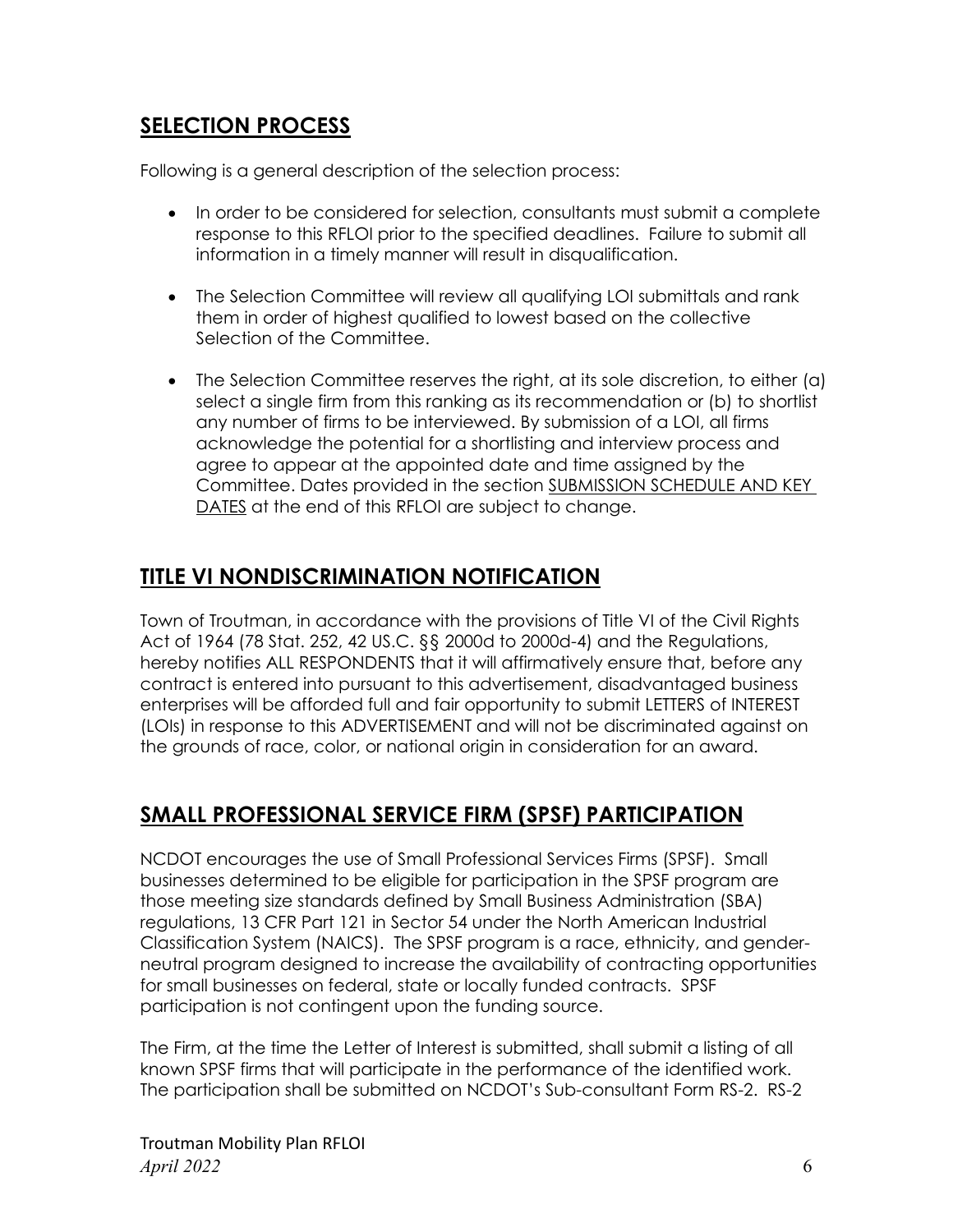### **SELECTION PROCESS**

Following is a general description of the selection process:

- In order to be considered for selection, consultants must submit a complete response to this RFLOI prior to the specified deadlines. Failure to submit all information in a timely manner will result in disqualification.
- The Selection Committee will review all qualifying LOI submittals and rank them in order of highest qualified to lowest based on the collective Selection of the Committee.
- The Selection Committee reserves the right, at its sole discretion, to either (a) select a single firm from this ranking as its recommendation or (b) to shortlist any number of firms to be interviewed. By submission of a LOI, all firms acknowledge the potential for a shortlisting and interview process and agree to appear at the appointed date and time assigned by the Committee. Dates provided in the section SUBMISSION SCHEDULE AND KEY DATES at the end of this RFLOI are subject to change.

#### **TITLE VI NONDISCRIMINATION NOTIFICATION**

Town of Troutman, in accordance with the provisions of Title VI of the Civil Rights Act of 1964 (78 Stat. 252, 42 US.C. §§ 2000d to 2000d-4) and the Regulations, hereby notifies ALL RESPONDENTS that it will affirmatively ensure that, before any contract is entered into pursuant to this advertisement, disadvantaged business enterprises will be afforded full and fair opportunity to submit LETTERS of INTEREST (LOIs) in response to this ADVERTISEMENT and will not be discriminated against on the grounds of race, color, or national origin in consideration for an award.

### **SMALL PROFESSIONAL SERVICE FIRM (SPSF) PARTICIPATION**

NCDOT encourages the use of Small Professional Services Firms (SPSF). Small businesses determined to be eligible for participation in the SPSF program are those meeting size standards defined by Small Business Administration (SBA) regulations, 13 CFR Part 121 in Sector 54 under the North American Industrial Classification System (NAICS). The SPSF program is a race, ethnicity, and genderneutral program designed to increase the availability of contracting opportunities for small businesses on federal, state or locally funded contracts. SPSF participation is not contingent upon the funding source.

The Firm, at the time the Letter of Interest is submitted, shall submit a listing of all known SPSF firms that will participate in the performance of the identified work. The participation shall be submitted on NCDOT's Sub-consultant Form RS-2. RS-2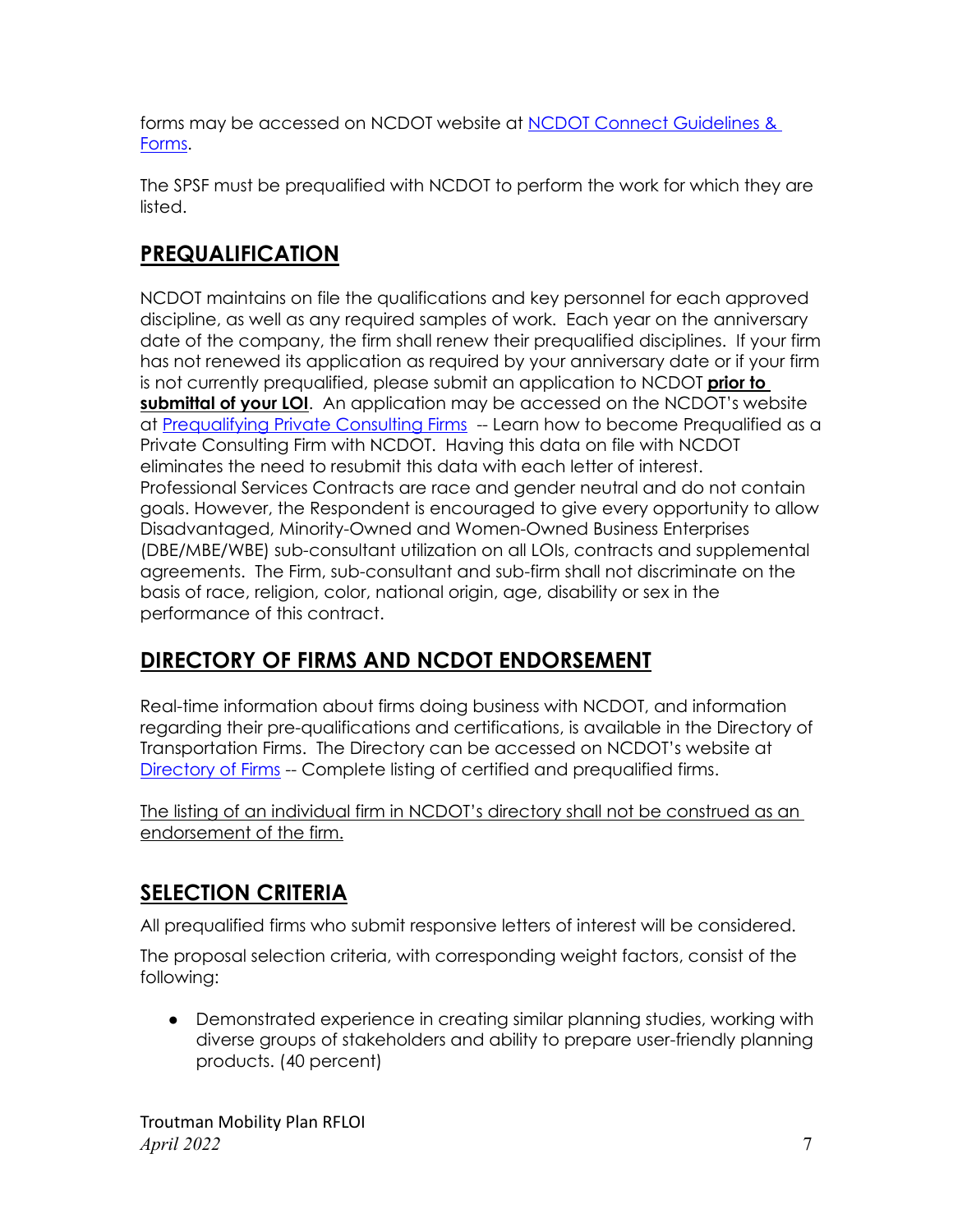forms may be accessed on NCDOT website at [NCDOT Connect Guidelines &](https://connect.ncdot.gov/business/consultants/Pages/Guidelines-Forms.aspx)  [Forms.](https://connect.ncdot.gov/business/consultants/Pages/Guidelines-Forms.aspx)

The SPSF must be prequalified with NCDOT to perform the work for which they are listed.

# **PREQUALIFICATION**

NCDOT maintains on file the qualifications and key personnel for each approved discipline, as well as any required samples of work. Each year on the anniversary date of the company, the firm shall renew their prequalified disciplines. If your firm has not renewed its application as required by your anniversary date or if your firm is not currently prequalified, please submit an application to NCDOT **prior to submittal of your LOI**. An application may be accessed on the NCDOT's website at [Prequalifying Private](https://connect.ncdot.gov/business/Prequal/Pages/Private-Consulting-Firm.aspx) Consulting Firms -- Learn how to become Prequalified as a Private Consulting Firm with NCDOT. Having this data on file with NCDOT eliminates the need to resubmit this data with each letter of interest. Professional Services Contracts are race and gender neutral and do not contain goals. However, the Respondent is encouraged to give every opportunity to allow Disadvantaged, Minority-Owned and Women-Owned Business Enterprises (DBE/MBE/WBE) sub-consultant utilization on all LOIs, contracts and supplemental agreements. The Firm, sub-consultant and sub-firm shall not discriminate on the basis of race, religion, color, national origin, age, disability or sex in the performance of this contract.

# **DIRECTORY OF FIRMS AND NCDOT ENDORSEMENT**

Real-time information about firms doing business with NCDOT, and information regarding their pre-qualifications and certifications, is available in the Directory of Transportation Firms. The Directory can be accessed on NCDOT's website at [Directory of Firms](https://www.ebs.nc.gov/VendorDirectory/default.html) -- Complete listing of certified and prequalified firms.

The listing of an individual firm in NCDOT's directory shall not be construed as an endorsement of the firm.

# **SELECTION CRITERIA**

All prequalified firms who submit responsive letters of interest will be considered.

The proposal selection criteria, with corresponding weight factors, consist of the following:

• Demonstrated experience in creating similar planning studies, working with diverse groups of stakeholders and ability to prepare user-friendly planning products. (40 percent)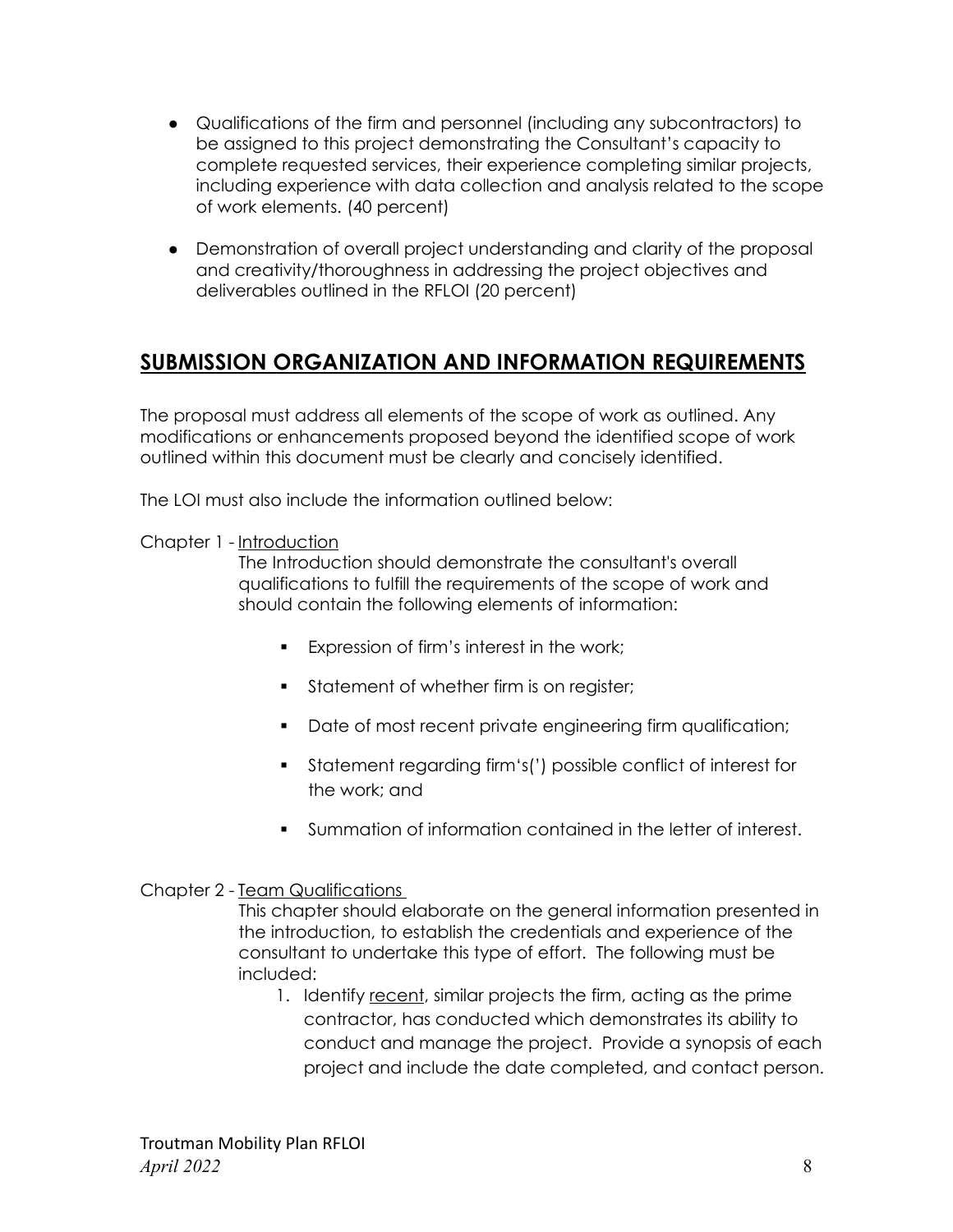- Qualifications of the firm and personnel (including any subcontractors) to be assigned to this project demonstrating the Consultant's capacity to complete requested services, their experience completing similar projects, including experience with data collection and analysis related to the scope of work elements. (40 percent)
- Demonstration of overall project understanding and clarity of the proposal and creativity/thoroughness in addressing the project objectives and deliverables outlined in the RFLOI (20 percent)

#### **SUBMISSION ORGANIZATION AND INFORMATION REQUIREMENTS**

The proposal must address all elements of the scope of work as outlined. Any modifications or enhancements proposed beyond the identified scope of work outlined within this document must be clearly and concisely identified.

The LOI must also include the information outlined below:

Chapter 1 - Introduction

The Introduction should demonstrate the consultant's overall qualifications to fulfill the requirements of the scope of work and should contain the following elements of information:

- Expression of firm's interest in the work;
- Statement of whether firm is on register;
- Date of most recent private engineering firm qualification;
- Statement regarding firm 's(') possible conflict of interest for the work; and
- Summation of information contained in the letter of interest.

#### Chapter 2 - Team Qualifications

This chapter should elaborate on the general information presented in the introduction, to establish the credentials and experience of the consultant to undertake this type of effort. The following must be included:

1. Identify recent, similar projects the firm, acting as the prime contractor, has conducted which demonstrates its ability to conduct and manage the project. Provide a synopsis of each project and include the date completed, and contact person.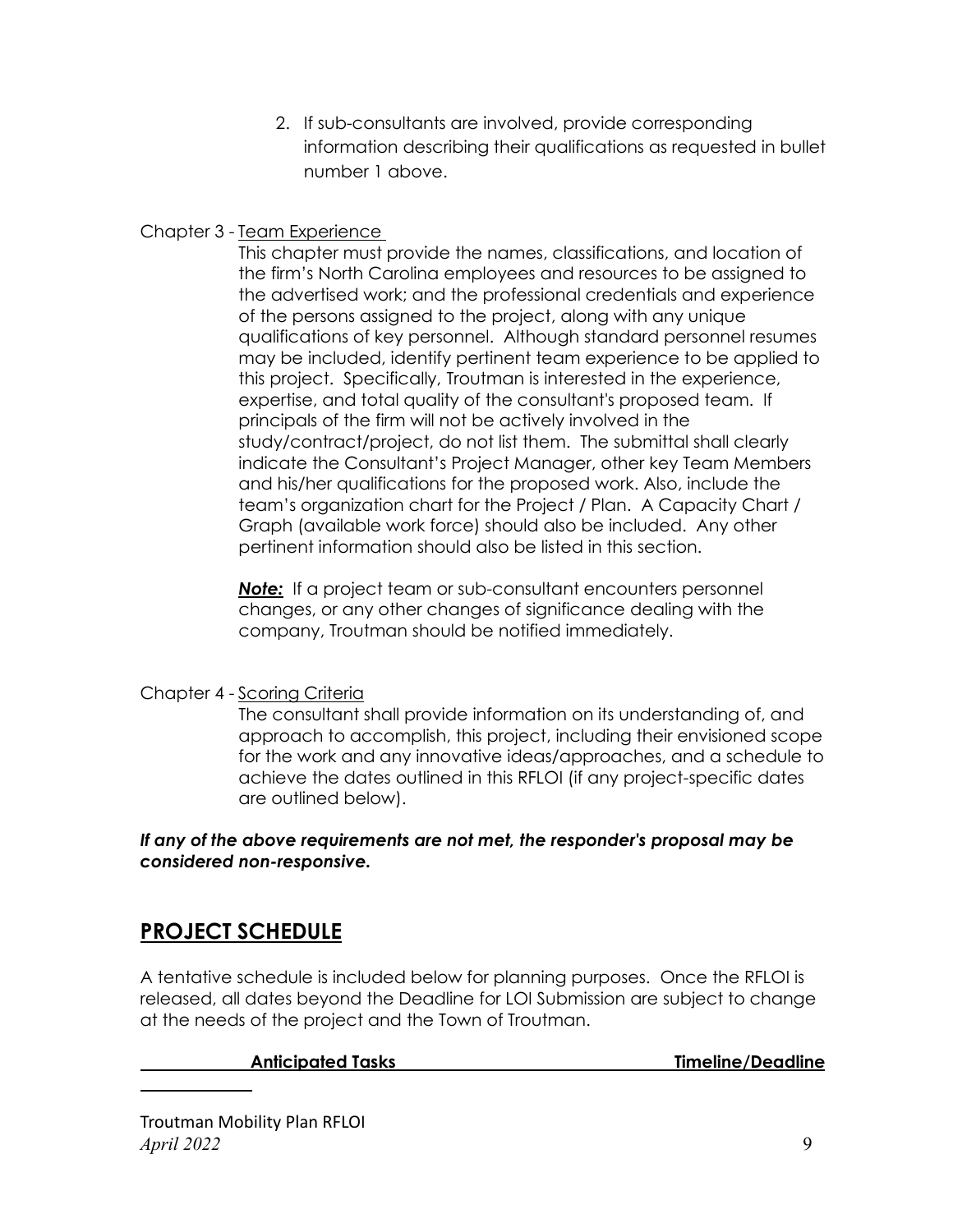2. If sub-consultants are involved, provide corresponding information describing their qualifications as requested in bullet number 1 above.

#### Chapter 3 - Team Experience

This chapter must provide the names, classifications, and location of the firm's North Carolina employees and resources to be assigned to the advertised work; and the professional credentials and experience of the persons assigned to the project, along with any unique qualifications of key personnel. Although standard personnel resumes may be included, identify pertinent team experience to be applied to this project. Specifically, Troutman is interested in the experience, expertise, and total quality of the consultant's proposed team. If principals of the firm will not be actively involved in the study/contract/project, do not list them. The submittal shall clearly indicate the Consultant's Project Manager, other key Team Members and his/her qualifications for the proposed work. Also, include the team's organization chart for the Project / Plan. A Capacity Chart / Graph (available work force) should also be included. Any other pertinent information should also be listed in this section.

*Note:* If a project team or sub-consultant encounters personnel changes, or any other changes of significance dealing with the company, Troutman should be notified immediately.

#### Chapter 4 - Scoring Criteria

The consultant shall provide information on its understanding of, and approach to accomplish, this project, including their envisioned scope for the work and any innovative ideas/approaches, and a schedule to achieve the dates outlined in this RFLOI (if any project-specific dates are outlined below).

*If any of the above requirements are not met, the responder's proposal may be considered non-responsive.*

### **PROJECT SCHEDULE**

A tentative schedule is included below for planning purposes. Once the RFLOI is released, all dates beyond the Deadline for LOI Submission are subject to change at the needs of the project and the Town of Troutman.

Anticipated Tasks Timeline/Deadline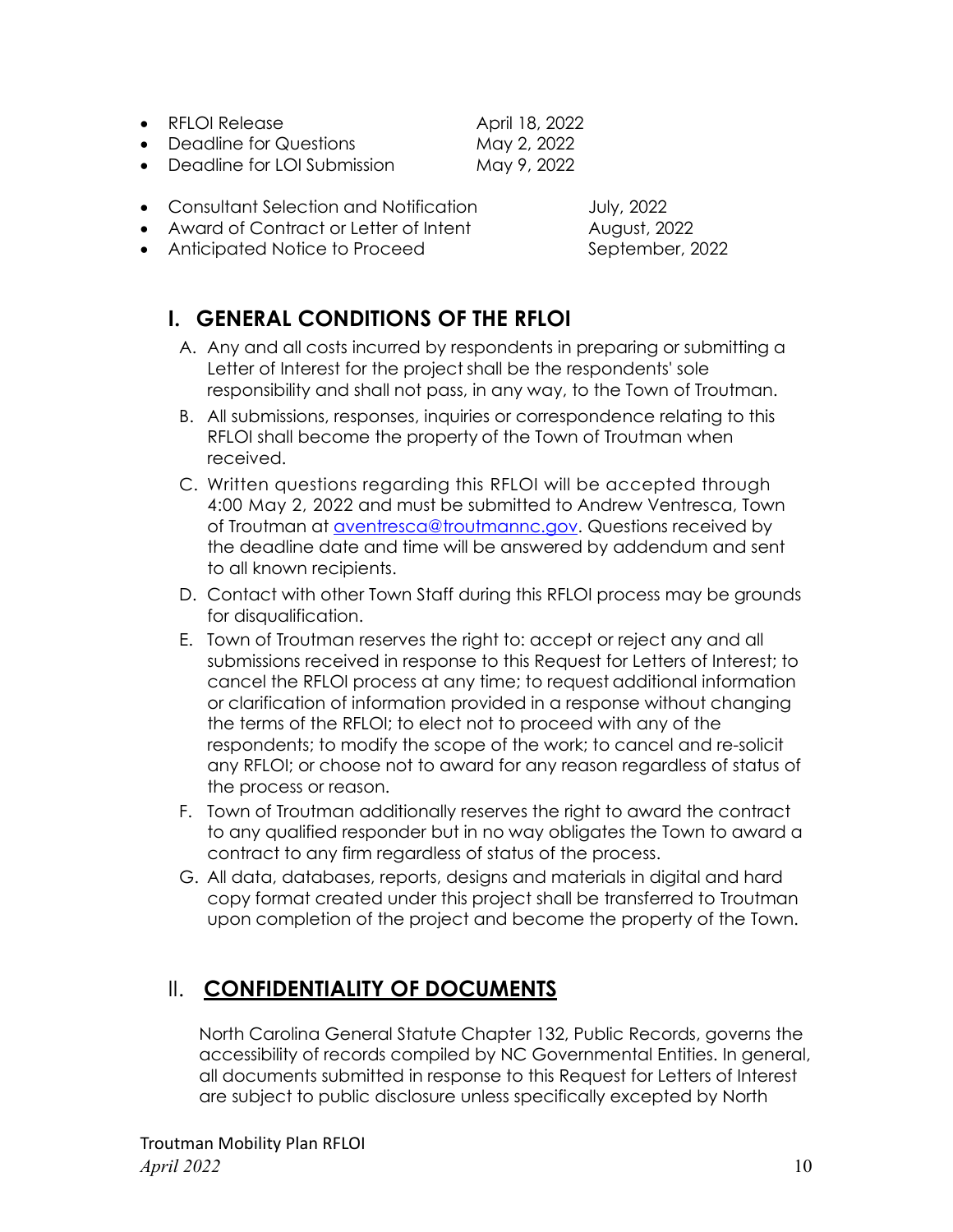- RFLOI Release April 18, 2022
- Deadline for Questions May 2, 2022

• Deadline for LOI Submission May 9, 2022

- Consultant Selection and Notification **July**, 2022
- Award of Contract or Letter of Intent **August**, 2022
- Anticipated Notice to Proceed September, 2022

### **I. GENERAL CONDITIONS OF THE RFLOI**

- A. Any and all costs incurred by respondents in preparing or submitting a Letter of Interest for the project shall be the respondents' sole responsibility and shall not pass, in any way, to the Town of Troutman.
- B. All submissions, responses, inquiries or correspondence relating to this RFLOI shall become the property of the Town of Troutman when received.
- C. Written questions regarding this RFLOI will be accepted through 4:00 May 2, 2022 and must be submitted to Andrew Ventresca, Town of Troutman at **aventresca@troutmannc.gov.** Questions received by the deadline date and time will be answered by addendum and sent to all known recipients.
- D. Contact with other Town Staff during this RFLOI process may be grounds for disqualification.
- E. Town of Troutman reserves the right to: accept or reject any and all submissions received in response to this Request for Letters of Interest; to cancel the RFLOI process at any time; to request additional information or clarification of information provided in a response without changing the terms of the RFLOI; to elect not to proceed with any of the respondents; to modify the scope of the work; to cancel and re-solicit any RFLOI; or choose not to award for any reason regardless of status of the process or reason.
- F. Town of Troutman additionally reserves the right to award the contract to any qualified responder but in no way obligates the Town to award a contract to any firm regardless of status of the process.
- G. All data, databases, reports, designs and materials in digital and hard copy format created under this project shall be transferred to Troutman upon completion of the project and become the property of the Town.

### II. **CONFIDENTIALITY OF DOCUMENTS**

North Carolina General Statute Chapter 132, Public Records, governs the accessibility of records compiled by NC Governmental Entities. In general, all documents submitted in response to this Request for Letters of Interest are subject to public disclosure unless specifically excepted by North